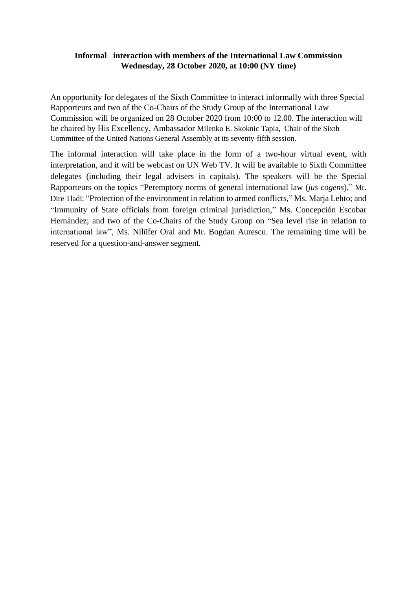## **Informal interaction with members of the International Law Commission Wednesday, 28 October 2020, at 10:00 (NY time)**

An opportunity for delegates of the Sixth Committee to interact informally with three Special Rapporteurs and two of the Co-Chairs of the Study Group of the International Law Commission will be organized on 28 October 2020 from 10:00 to 12.00. The interaction will be chaired by His Excellency, Ambassador Milenko E. Skoknic Tapia, Chair of the Sixth Committee of the United Nations General Assembly at its seventy-fifth session.

The informal interaction will take place in the form of a two-hour virtual event, with interpretation, and it will be webcast on UN Web TV. It will be available to Sixth Committee delegates (including their legal advisers in capitals). The speakers will be the Special Rapporteurs on the topics "Peremptory norms of general international law (*jus cogens*)," Mr. Dire Tladi; "Protection of the environment in relation to armed conflicts," Ms. Marja Lehto; and "Immunity of State officials from foreign criminal jurisdiction," Ms. Concepción Escobar Hernández; and two of the Co-Chairs of the Study Group on "Sea level rise in relation to international law", Ms. Nilüfer Oral and Mr. Bogdan Aurescu. The remaining time will be reserved for a question-and-answer segment.